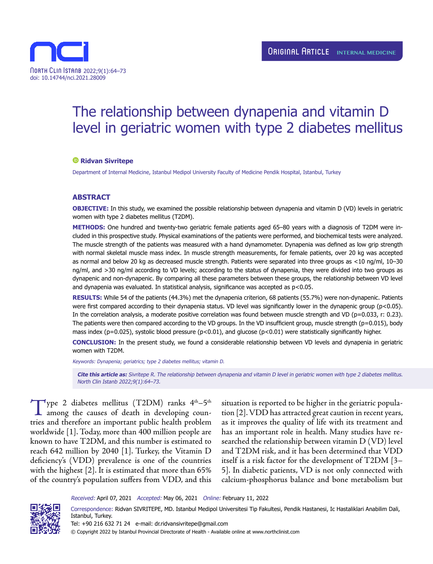

# The relationship between dynapenia and vitamin D level in geriatric women with type 2 diabetes mellitus

#### **Ridvan Sivritepe**

Department of Internal Medicine, Istanbul Medipol University Faculty of Medicine Pendik Hospital, Istanbul, Turkey

# **ABSTRACT**

**OBJECTIVE:** In this study, we examined the possible relationship between dynapenia and vitamin D (VD) levels in geriatric women with type 2 diabetes mellitus (T2DM).

**METHODS:** One hundred and twenty-two geriatric female patients aged 65–80 years with a diagnosis of T2DM were included in this prospective study. Physical examinations of the patients were performed, and biochemical tests were analyzed. The muscle strength of the patients was measured with a hand dynamometer. Dynapenia was defined as low grip strength with normal skeletal muscle mass index. In muscle strength measurements, for female patients, over 20 kg was accepted as normal and below 20 kg as decreased muscle strength. Patients were separated into three groups as <10 ng/ml, 10–30 ng/ml, and >30 ng/ml according to VD levels; according to the status of dynapenia, they were divided into two groups as dynapenic and non-dynapenic. By comparing all these parameters between these groups, the relationship between VD level and dynapenia was evaluated. In statistical analysis, significance was accepted as p<0.05.

**RESULTS:** While 54 of the patients (44.3%) met the dynapenia criterion, 68 patients (55.7%) were non-dynapenic. Patients were first compared according to their dynapenia status. VD level was significantly lower in the dynapenic group (p<0.05). In the correlation analysis, a moderate positive correlation was found between muscle strength and VD ( $p=0.033$ , r: 0.23). The patients were then compared according to the VD groups. In the VD insufficient group, muscle strength ( $p=0.015$ ), body mass index (p=0.025), systolic blood pressure (p<0.01), and glucose (p<0.01) were statistically significantly higher.

**CONCLUSION:** In the present study, we found a considerable relationship between VD levels and dynapenia in geriatric women with T2DM.

Keywords: Dynapenia; geriatrics; type 2 diabetes mellitus; vitamin D.

**Cite this article as:** Sivritepe R. The relationship between dynapenia and vitamin D level in geriatric women with type 2 diabetes mellitus. North Clin Istanb 2022;9(1):64–73.

 $\mathcal{T}_{\text{ype}}$  2 diabetes mellitus (T2DM) ranks 4<sup>th</sup>–5<sup>th</sup> among the causes of death in developing countries and therefore an important public health problem worldwide [1]. Today, more than 400 million people are known to have T2DM, and this number is estimated to reach 642 million by 2040 [1]. Turkey, the Vitamin D deficiency's (VDD) prevalence is one of the countries with the highest [2]. It is estimated that more than 65% of the country's population suffers from VDD, and this situation is reported to be higher in the geriatric population [2]. VDD has attracted great caution in recent years, as it improves the quality of life with its treatment and has an important role in health. Many studies have researched the relationship between vitamin D (VD) level and T2DM risk, and it has been determined that VDD itself is a risk factor for the development of T2DM [3– 5]. In diabetic patients, VD is not only connected with calcium-phosphorus balance and bone metabolism but

Received: April 07, 2021 Accepted: May 06, 2021 Online: February 11, 2022



Correspondence: Ridvan SIVRITEPE, MD. Istanbul Medipol Universitesi Tip Fakultesi, Pendik Hastanesi, Ic Hastaliklari Anabilim Dali, Istanbul, Turkey. Tel: +90 216 632 71 24 e-mail: dr.ridvansivritepe@gmail.com

© Copyright 2022 by Istanbul Provincial Directorate of Health - Available online at www.northclinist.com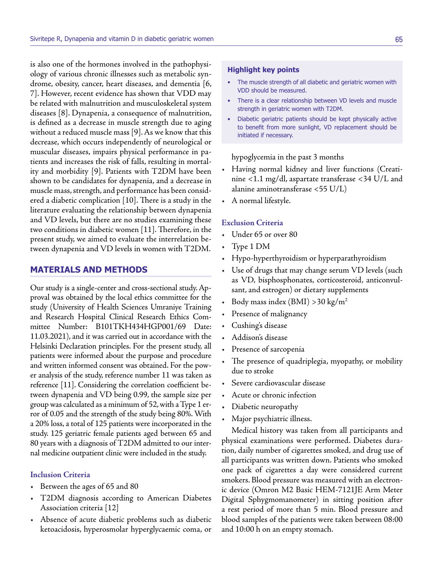is also one of the hormones involved in the pathophysiology of various chronic illnesses such as metabolic syndrome, obesity, cancer, heart diseases, and dementia [6, 7]. However, recent evidence has shown that VDD may be related with malnutrition and musculoskeletal system diseases [8]. Dynapenia, a consequence of malnutrition, is defined as a decrease in muscle strength due to aging without a reduced muscle mass [9]. As we know that this decrease, which occurs independently of neurological or muscular diseases, impairs physical performance in patients and increases the risk of falls, resulting in mortality and morbidity [9]. Patients with T2DM have been shown to be candidates for dynapenia, and a decrease in muscle mass, strength, and performance has been considered a diabetic complication [10]. There is a study in the literature evaluating the relationship between dynapenia and VD levels, but there are no studies examining these two conditions in diabetic women [11]. Therefore, in the present study, we aimed to evaluate the interrelation between dynapenia and VD levels in women with T2DM.

# **MATERIALS AND METHODS**

Our study is a single-center and cross-sectional study. Approval was obtained by the local ethics committee for the study (University of Health Sciences Umraniye Training and Research Hospital Clinical Research Ethics Committee Number: B101TKH434HGP001/69 Date: 11.03.2021), and it was carried out in accordance with the Helsinki Declaration principles. For the present study, all patients were informed about the purpose and procedure and written informed consent was obtained. For the power analysis of the study, reference number 11 was taken as reference [11]. Considering the correlation coefficient between dynapenia and VD being 0.99, the sample size per group was calculated as a minimum of 52, with a Type 1 error of 0.05 and the strength of the study being 80%. With a 20% loss, a total of 125 patients were incorporated in the study. 125 geriatric female patients aged between 65 and 80 years with a diagnosis of T2DM admitted to our internal medicine outpatient clinic were included in the study.

#### **Inclusion Criteria**

- Between the ages of 65 and 80
- T2DM diagnosis according to American Diabetes Association criteria [12]
- Absence of acute diabetic problems such as diabetic ketoacidosis, hyperosmolar hyperglycaemic coma, or

#### **Highlight key points**

- The muscle strength of all diabetic and geriatric women with VDD should be measured.
- There is a clear relationship between VD levels and muscle strength in geriatric women with T2DM.
- Diabetic geriatric patients should be kept physically active to benefit from more sunlight, VD replacement should be initiated if necessary.

hypoglycemia in the past 3 months

- Having normal kidney and liver functions (Creatinine <1.1 mg/dl, aspartate transferase <34 U/L and alanine aminotransferase <55 U/L)
- A normal lifestyle.

#### **Exclusion Criteria**

- Under 65 or over 80
- Type 1 DM
- Hypo-hyperthyroidism or hyperparathyroidism
- Use of drugs that may change serum VD levels (such as VD, bisphosphonates, corticosteroid, anticonvulsant, and estrogen) or dietary supplements
- Body mass index (BMI) > 30 kg/m<sup>2</sup>
- Presence of malignancy
- Cushing's disease
- Addison's disease
- Presence of sarcopenia
- The presence of quadriplegia, myopathy, or mobility due to stroke
- Severe cardiovascular disease
- Acute or chronic infection
- Diabetic neuropathy
- Major psychiatric illness.

Medical history was taken from all participants and physical examinations were performed. Diabetes duration, daily number of cigarettes smoked, and drug use of all participants was written down. Patients who smoked one pack of cigarettes a day were considered current smokers. Blood pressure was measured with an electronic device (Omron M2 Basic HEM-7121JE Arm Meter Digital Sphygmomanometer) in sitting position after a rest period of more than 5 min. Blood pressure and blood samples of the patients were taken between 08:00 and 10:00 h on an empty stomach.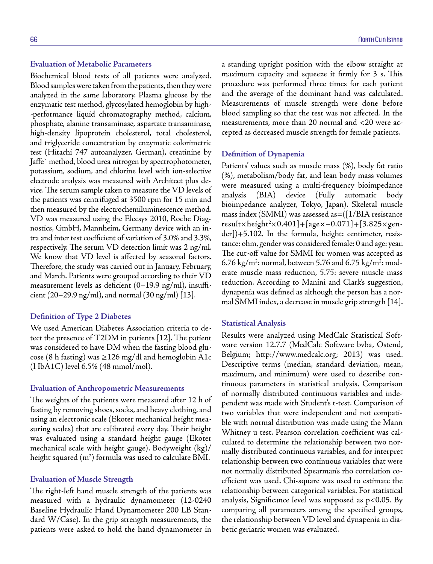#### **Evaluation of Metabolic Parameters**

Biochemical blood tests of all patients were analyzed. Blood samples were taken from the patients, then they were analyzed in the same laboratory. Plasma glucose by the enzymatic test method, glycosylated hemoglobin by high- -performance liquid chromatography method, calcium, phosphate, alanine transaminase, aspartate transaminase, high-density lipoprotein cholesterol, total cholesterol, and triglyceride concentration by enzymatic colorimetric test (Hitachi 747 autoanalyzer, German), creatinine by Jaffe` method, blood urea nitrogen by spectrophotometer, potassium, sodium, and chlorine level with ion-selective electrode analysis was measured with Architect plus device. The serum sample taken to measure the VD levels of the patients was centrifuged at 3500 rpm for 15 min and then measured by the electrochemiluminescence method. VD was measured using the Elecsys 2010, Roche Diagnostics, GmbH, Mannheim, Germany device with an intra and inter test coefficient of variation of 3.0% and 3.3%, respectively. The serum VD detection limit was 2 ng/ml. We know that VD level is affected by seasonal factors. Therefore, the study was carried out in January, February, and March. Patients were grouped according to their VD measurement levels as deficient (0–19.9 ng/ml), insufficient (20–29.9 ng/ml), and normal (30 ng/ml) [13].

# **Definition of Type 2 Diabetes**

We used American Diabetes Association criteria to detect the presence of T2DM in patients [12]. The patient was considered to have DM when the fasting blood glucose (8 h fasting) was ≥126 mg/dl and hemoglobin A1c (HbA1C) level 6.5% (48 mmol/mol).

#### **Evaluation of Anthropometric Measurements**

The weights of the patients were measured after 12 h of fasting by removing shoes, socks, and heavy clothing, and using an electronic scale (Ekoter mechanical height measuring scales) that are calibrated every day. Their height was evaluated using a standard height gauge (Ekoter mechanical scale with height gauge). Bodyweight (kg)/ height squared (m $^2)$  formula was used to calculate BMI.

#### **Evaluation of Muscle Strength**

The right-left hand muscle strength of the patients was measured with a hydraulic dynamometer (12-0240 Baseline Hydraulic Hand Dynamometer 200 LB Standard W/Case). In the grip strength measurements, the patients were asked to hold the hand dynamometer in a standing upright position with the elbow straight at maximum capacity and squeeze it firmly for 3 s. This procedure was performed three times for each patient and the average of the dominant hand was calculated. Measurements of muscle strength were done before blood sampling so that the test was not affected. In the measurements, more than 20 normal and <20 were accepted as decreased muscle strength for female patients.

#### **Definition of Dynapenia**

Patients' values such as muscle mass (%), body fat ratio (%), metabolism/body fat, and lean body mass volumes were measured using a multi-frequency bioimpedance analysis (BIA) device (Fully automatic body bioimpedance analyzer, Tokyo, Japan). Skeletal muscle mass index (SMMI) was assessed as=([1/BIA resistance result×height2 ×0.401]+[age×–0.071]+[3.825×gender])+5.102. In the formula, height: centimeter, resistance: ohm, gender was considered female: 0 and age: year. The cut-off value for SMMI for women was accepted as 6.76 kg/m²: normal, between 5.76 and 6.75 kg/m²: moderate muscle mass reduction, 5.75: severe muscle mass reduction. According to Manini and Clark's suggestion, dynapenia was defined as although the person has a normal SMMI index, a decrease in muscle grip strength [14].

#### **Statistical Analysis**

Results were analyzed using MedCalc Statistical Software version 12.7.7 (MedCalc Software bvba, Ostend, Belgium; http://www.medcalc.org; 2013) was used. Descriptive terms (median, standard deviation, mean, maximum, and minimum) were used to describe continuous parameters in statistical analysis. Comparison of normally distributed continuous variables and independent was made with Student's t-test. Comparison of two variables that were independent and not compatible with normal distribution was made using the Mann Whitney u test. Pearson correlation coefficient was calculated to determine the relationship between two normally distributed continuous variables, and for interpret relationship between two continuous variables that were not normally distributed Spearman's rho correlation coefficient was used. Chi-square was used to estimate the relationship between categorical variables. For statistical analysis, Significance level was supposed as p<0.05. By comparing all parameters among the specified groups, the relationship between VD level and dynapenia in diabetic geriatric women was evaluated.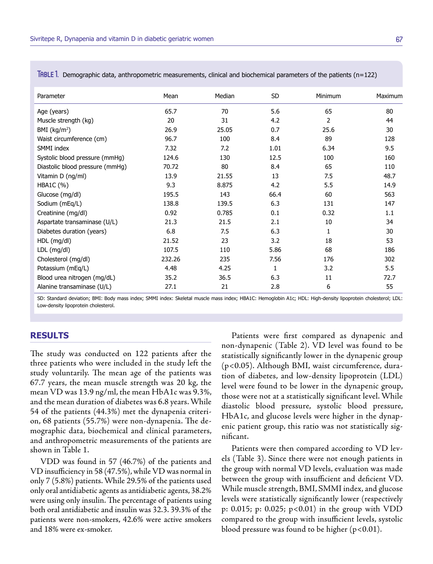| Parameter                       | Mean   | Median | SD   | Minimum      | Maximum |
|---------------------------------|--------|--------|------|--------------|---------|
| Age (years)                     | 65.7   | 70     | 5.6  | 65           | 80      |
| Muscle strength (kg)            | 20     | 31     | 4.2  | 2            | 44      |
| BMI $(kg/m2)$                   | 26.9   | 25.05  | 0.7  | 25.6         | 30      |
| Waist circumference (cm)        | 96.7   | 100    | 8.4  | 89           | 128     |
| SMMI index                      | 7.32   | 7.2    | 1.01 | 6.34         | 9.5     |
| Systolic blood pressure (mmHg)  | 124.6  | 130    | 12.5 | 100          | 160     |
| Diastolic blood pressure (mmHg) | 70.72  | 80     | 8.4  | 65           | 110     |
| Vitamin D (ng/ml)               | 13.9   | 21.55  | 13   | 7.5          | 48.7    |
| HBA1C (%)                       | 9.3    | 8.875  | 4.2  | 5.5          | 14.9    |
| Glucose (mg/dl)                 | 195.5  | 143    | 66.4 | 60           | 563     |
| Sodium (mEq/L)                  | 138.8  | 139.5  | 6.3  | 131          | 147     |
| Creatinine (mg/dl)              | 0.92   | 0.785  | 0.1  | 0.32         | 1.1     |
| Aspartate transaminase (U/L)    | 21.3   | 21.5   | 2.1  | 10           | 34      |
| Diabetes duration (years)       | 6.8    | 7.5    | 6.3  | $\mathbf{1}$ | 30      |
| HDL (mg/dl)                     | 21.52  | 23     | 3.2  | 18           | 53      |
| LDL (mg/dl)                     | 107.5  | 110    | 5.86 | 68           | 186     |
| Cholesterol (mg/dl)             | 232.26 | 235    | 7.56 | 176          | 302     |
| Potassium (mEq/L)               | 4.48   | 4.25   | 1    | 3.2          | 5.5     |
| Blood urea nitrogen (mg/dL)     | 35.2   | 36.5   | 6.3  | 11           | 72.7    |
| Alanine transaminase (U/L)      | 27.1   | 21     | 2.8  | 6            | 55      |

Table 1. Demographic data, anthropometric measurements, clinical and biochemical parameters of the patients (n=122)

SD: Standard deviation; BMI: Body mass index; SMMI index: Skeletal muscle mass index; HBA1C: Hemoglobin A1c; HDL: High-density lipoprotein cholesterol; LDL: Low-density lipoprotein cholesterol.

# **RESULTS**

The study was conducted on 122 patients after the three patients who were included in the study left the study voluntarily. The mean age of the patients was 67.7 years, the mean muscle strength was 20 kg, the mean VD was 13.9 ng/ml, the mean HbA1c was 9.3%, and the mean duration of diabetes was 6.8 years. While 54 of the patients (44.3%) met the dynapenia criterion, 68 patients (55.7%) were non-dynapenia. The demographic data, biochemical and clinical parameters, and anthropometric measurements of the patients are shown in Table 1.

VDD was found in 57 (46.7%) of the patients and VD insufficiency in 58 (47.5%), while VD was normal in only 7 (5.8%) patients. While 29.5% of the patients used only oral antidiabetic agents as antidiabetic agents, 38.2% were using only insulin. The percentage of patients using both oral antidiabetic and insulin was 32.3. 39.3% of the patients were non-smokers, 42.6% were active smokers and 18% were ex-smoker.

Patients were first compared as dynapenic and non-dynapenic (Table 2). VD level was found to be statistically significantly lower in the dynapenic group (p<0.05). Although BMI, waist circumference, duration of diabetes, and low-density lipoprotein (LDL) level were found to be lower in the dynapenic group, those were not at a statistically significant level. While diastolic blood pressure, systolic blood pressure, HbA1c, and glucose levels were higher in the dynapenic patient group, this ratio was not statistically significant.

Patients were then compared according to VD levels (Table 3). Since there were not enough patients in the group with normal VD levels, evaluation was made between the group with insufficient and deficient VD. While muscle strength, BMI, SMMI index, and glucose levels were statistically significantly lower (respectively p: 0.015; p: 0.025; p<0.01) in the group with VDD compared to the group with insufficient levels, systolic blood pressure was found to be higher  $(p<0.01)$ .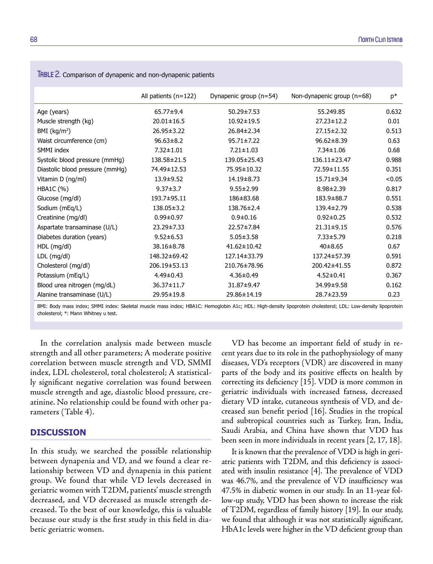|                                 | All patients $(n=122)$ | Dynapenic group (n=54) | Non-dynapenic group (n=68) | $p*$   |
|---------------------------------|------------------------|------------------------|----------------------------|--------|
| Age (years)                     | 65.77±9.4              | $50.29 \pm 7.53$       | 55.249.85                  | 0.632  |
| Muscle strength (kg)            | $20.01 \pm 16.5$       | 10.92±19.5             | $27.23 \pm 12.2$           | 0.01   |
| $BMI$ (kg/m <sup>2</sup> )      | $26.95 \pm 3.22$       | 26.84±2.34             | $27.15 \pm 2.32$           | 0.513  |
| Waist circumference (cm)        | $96.63 \pm 8.2$        | $95.71 \pm 7.22$       | $96.62 \pm 8.39$           | 0.63   |
| SMMI index                      | $7.32 \pm 1.01$        | $7.21 \pm 1.03$        | $7.34 \pm 1.06$            | 0.68   |
| Systolic blood pressure (mmHg)  | 138.58±21.5            | 139.05±25.43           | 136.11±23.47               | 0.988  |
| Diastolic blood pressure (mmHg) | 74.49±12.53            | 75.95±10.32            | 72.59±11.55                | 0.351  |
| Vitamin D (ng/ml)               | $13.9 + 9.52$          | 14.19±8.73             | $15.71 \pm 9.34$           | < 0.05 |
| HBA1C (%)                       | $9.37 \pm 3.7$         | $9.55 \pm 2.99$        | $8.98 \pm 2.39$            | 0.817  |
| Glucose (mg/dl)                 | 193.7±95.11            | 186±83.68              | 183.9±88.7                 | 0.551  |
| Sodium (mEq/L)                  | 138.05±3.2             | 138.76±2.4             | 139.4±2.79                 | 0.538  |
| Creatinine (mg/dl)              | $0.99 \pm 0.97$        | $0.9 + 0.16$           | $0.92 \pm 0.25$            | 0.532  |
| Aspartate transaminase (U/L)    | 23.29±7.33             | 22.57±7.84             | $21.31 \pm 9.15$           | 0.576  |
| Diabetes duration (years)       | $9.52 \pm 6.53$        | $5.05 \pm 3.58$        | $7.33 \pm 5.79$            | 0.218  |
| HDL (mg/dl)                     | 38.16±8.78             | $41.62 \pm 10.42$      | $40\pm8.65$                | 0.67   |
| LDL (mg/dl)                     | 148.32±69.42           | 127.14±33.79           | 137.24±57.39               | 0.591  |
| Cholesterol (mg/dl)             | 206.19±53.13           | 210.76±78.96           | 200.42±41.55               | 0.872  |
| Potassium (mEq/L)               | $4.49 \pm 0.43$        | $4.36 \pm 0.49$        | $4.52 \pm 0.41$            | 0.367  |
| Blood urea nitrogen (mg/dL)     | 36.37±11.7             | 31.87±9.47             | 34.99±9.58                 | 0.162  |
| Alanine transaminase (U/L)      | 29.95±19.8             | 29.86±14.19            | 28.7±23.59                 | 0.23   |

TABLE 2. Comparison of dynapenic and non-dynapenic patients

BMI: Body mass index; SMMI index: Skeletal muscle mass index; HBA1C: Hemoglobin A1c; HDL: High-density lipoprotein cholesterol; LDL: Low-density lipoprotein cholesterol; \*: Mann Whitney u test.

In the correlation analysis made between muscle strength and all other parameters; A moderate positive correlation between muscle strength and VD, SMMI index, LDL cholesterol, total cholesterol; A statistically significant negative correlation was found between muscle strength and age, diastolic blood pressure, creatinine. No relationship could be found with other parameters (Table 4).

# **DISCUSSION**

In this study, we searched the possible relationship between dynapenia and VD, and we found a clear relationship between VD and dynapenia in this patient group. We found that while VD levels decreased in geriatric women with T2DM, patients' muscle strength decreased, and VD decreased as muscle strength decreased. To the best of our knowledge, this is valuable because our study is the first study in this field in diabetic geriatric women.

VD has become an important field of study in recent years due to its role in the pathophysiology of many diseases, VD's receptors (VDR) are discovered in many parts of the body and its positive effects on health by correcting its deficiency [15]. VDD is more common in geriatric individuals with increased fatness, decreased dietary VD intake, cutaneous synthesis of VD, and decreased sun benefit period [16]. Studies in the tropical and subtropical countries such as Turkey, Iran, India, Saudi Arabia, and China have shown that VDD has been seen in more individuals in recent years [2, 17, 18].

It is known that the prevalence of VDD is high in geriatric patients with T2DM, and this deficiency is associated with insulin resistance [4]. The prevalence of VDD was 46.7%, and the prevalence of VD insufficiency was 47.5% in diabetic women in our study. In an 11-year follow-up study, VDD has been shown to increase the risk of T2DM, regardless of family history [19]. In our study, we found that although it was not statistically significant, HbA1c levels were higher in the VD deficient group than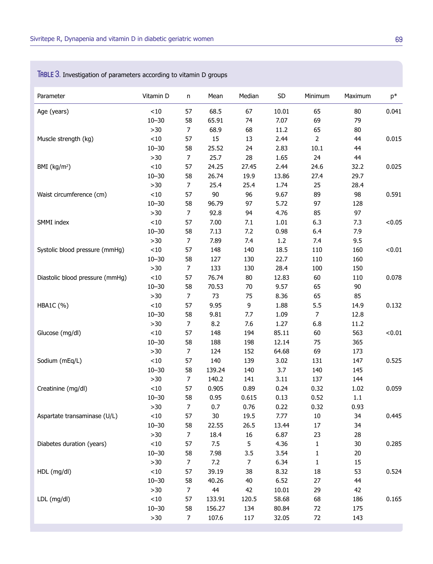| Parameter                       | Vitamin D | n              | Mean   | Median         | SD    | Minimum        | Maximum | $p*$   |
|---------------------------------|-----------|----------------|--------|----------------|-------|----------------|---------|--------|
| Age (years)                     | $<10$     | 57             | 68.5   | 67             | 10.01 | 65             | 80      | 0.041  |
|                                 | $10 - 30$ | 58             | 65.91  | 74             | 7.07  | 69             | 79      |        |
|                                 | $>30$     | $\overline{7}$ | 68.9   | 68             | 11.2  | 65             | 80      |        |
| Muscle strength (kg)            | $<\!10$   | 57             | 15     | 13             | 2.44  | $\overline{2}$ | 44      | 0.015  |
|                                 | $10 - 30$ | 58             | 25.52  | 24             | 2.83  | 10.1           | 44      |        |
|                                 | $>30$     | 7              | 25.7   | 28             | 1.65  | 24             | 44      |        |
| BMI $(kg/m2)$                   | $<10$     | 57             | 24.25  | 27.45          | 2.44  | 24.6           | 32.2    | 0.025  |
|                                 | $10 - 30$ | 58             | 26.74  | 19.9           | 13.86 | 27.4           | 29.7    |        |
|                                 | $>30$     | $\overline{7}$ | 25.4   | 25.4           | 1.74  | 25             | 28.4    |        |
| Waist circumference (cm)        | $<\!10$   | 57             | 90     | 96             | 9.67  | 89             | 98      | 0.591  |
|                                 | $10 - 30$ | 58             | 96.79  | 97             | 5.72  | 97             | 128     |        |
|                                 | $>30$     | $\overline{7}$ | 92.8   | 94             | 4.76  | 85             | 97      |        |
| SMMI index                      | $<10$     | 57             | 7.00   | 7.1            | 1.01  | 6.3            | 7.3     | < 0.05 |
|                                 | $10 - 30$ | 58             | 7.13   | 7.2            | 0.98  | 6.4            | 7.9     |        |
|                                 | $>30$     | $\overline{7}$ | 7.89   | 7.4            | 1.2   | 7.4            | 9.5     |        |
| Systolic blood pressure (mmHg)  | $<\!10$   | 57             | 148    | 140            | 18.5  | 110            | 160     | < 0.01 |
|                                 | $10 - 30$ | 58             | 127    | 130            | 22.7  | 110            | 160     |        |
|                                 | $>30$     | $\overline{7}$ | 133    | 130            | 28.4  | 100            | 150     |        |
| Diastolic blood pressure (mmHq) | $<10$     | 57             | 76.74  | 80             | 12.83 | 60             | 110     | 0.078  |
|                                 | $10 - 30$ | 58             | 70.53  | 70             | 9.57  | 65             | 90      |        |
|                                 | $>30$     | $\overline{7}$ | 73     | 75             | 8.36  | 65             | 85      |        |
| <b>HBA1C</b> (%)                | $<10$     | 57             | 9.95   | 9              | 1.88  | 5.5            | 14.9    | 0.132  |
|                                 | $10 - 30$ | 58             | 9.81   | 7.7            | 1.09  | $\overline{7}$ | 12.8    |        |
|                                 | $>30$     | $\overline{7}$ | 8.2    | 7.6            | 1.27  | 6.8            | 11.2    |        |
| Glucose (mg/dl)                 | $<10$     | 57             | 148    | 194            | 85.11 | 60             | 563     | < 0.01 |
|                                 | $10 - 30$ | 58             | 188    | 198            | 12.14 | 75             | 365     |        |
|                                 | $>30$     | $\overline{7}$ | 124    | 152            | 64.68 | 69             | 173     |        |
| Sodium (mEq/L)                  | ${<}10$   | 57             | 140    | 139            | 3.02  | 131            | 147     | 0.525  |
|                                 | $10 - 30$ | 58             | 139.24 | 140            | 3.7   | 140            | 145     |        |
|                                 | $>30$     | $\overline{7}$ | 140.2  | 141            | 3.11  | 137            | 144     |        |
| Creatinine (mg/dl)              | < 10      | 57             | 0.905  | 0.89           | 0.24  | 0.32           | 1.02    | 0.059  |
|                                 | $10 - 30$ | 58             | 0.95   | 0.615          | 0.13  | 0.52           | 1.1     |        |
|                                 | $>30$     | $\overline{7}$ | 0.7    | 0.76           | 0.22  | 0.32           | 0.93    |        |
| Aspartate transaminase (U/L)    | ${<}10$   | 57             | $30\,$ | 19.5           | 7.77  | $10\,$         | 34      | 0.445  |
|                                 | $10 - 30$ | 58             | 22.55  | 26.5           | 13.44 | $17\,$         | 34      |        |
|                                 | $>30$     | 7              | 18.4   | 16             | 6.87  | 23             | 28      |        |
| Diabetes duration (years)       | $<10$     | 57             | 7.5    | 5              | 4.36  | $\mathbf{1}$   | $30\,$  | 0.285  |
|                                 | $10 - 30$ | 58             | 7.98   | 3.5            | 3.54  | 1              | 20      |        |
|                                 | $>30$     | $\overline{7}$ | 7.2    | $\overline{7}$ | 6.34  | $\mathbf 1$    | 15      |        |
| HDL (mg/dl)                     | < 10      | 57             | 39.19  | 38             | 8.32  | 18             | 53      | 0.524  |
|                                 | $10 - 30$ | 58             | 40.26  | 40             | 6.52  | 27             | 44      |        |
|                                 | $>30$     | $\overline{7}$ | 44     | 42             | 10.01 | 29             | 42      |        |
| LDL (mg/dl)                     | < 10      | 57             | 133.91 | 120.5          | 58.68 | 68             | 186     | 0.165  |
|                                 | $10 - 30$ | 58             | 156.27 | 134            | 80.84 | 72             | 175     |        |
|                                 | $>30$     | $\overline{7}$ | 107.6  | 117            | 32.05 | 72             | 143     |        |

# Table 3. Investigation of parameters according to vitamin D groups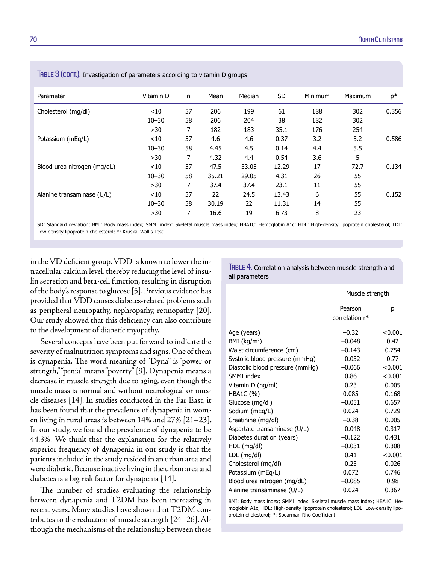| Parameter                   | Vitamin D | n  | Mean  | Median | SD.   | Minimum | Maximum | $p*$  |
|-----------------------------|-----------|----|-------|--------|-------|---------|---------|-------|
| Cholesterol (mg/dl)         | $<$ 10    | 57 | 206   | 199    | 61    | 188     | 302     | 0.356 |
|                             | $10 - 30$ | 58 | 206   | 204    | 38    | 182     | 302     |       |
|                             | >30       | 7  | 182   | 183    | 35.1  | 176     | 254     |       |
| Potassium (mEg/L)           | < 10      | 57 | 4.6   | 4.6    | 0.37  | 3.2     | 5.2     | 0.586 |
|                             | $10 - 30$ | 58 | 4.45  | 4.5    | 0.14  | 4.4     | 5.5     |       |
|                             | >30       | 7  | 4.32  | 4.4    | 0.54  | 3.6     | 5       |       |
| Blood urea nitrogen (mg/dL) | $<$ 10    | 57 | 47.5  | 33.05  | 12.29 | 17      | 72.7    | 0.134 |
|                             | $10 - 30$ | 58 | 35.21 | 29.05  | 4.31  | 26      | 55      |       |
|                             | >30       | 7  | 37.4  | 37.4   | 23.1  | 11      | 55      |       |
| Alanine transaminase (U/L)  | ~10       | 57 | 22    | 24.5   | 13.43 | 6       | 55      | 0.152 |
|                             | $10 - 30$ | 58 | 30.19 | 22     | 11.31 | 14      | 55      |       |
|                             | >30       | 7  | 16.6  | 19     | 6.73  | 8       | 23      |       |

TABLE 3 (CONT.). Investigation of parameters according to vitamin D groups

SD: Standard deviation; BMI: Body mass index; SMMI index: Skeletal muscle mass index; HBA1C: Hemoglobin A1c; HDL: High-density lipoprotein cholesterol; LDL: Low-density lipoprotein cholesterol; \*: Kruskal Wallis Test.

in the VD deficient group. VDD is known to lower the intracellular calcium level, thereby reducing the level of insulin secretion and beta-cell function, resulting in disruption of the body's response to glucose [5]. Previous evidence has provided that VDD causes diabetes-related problems such as peripheral neuropathy, nephropathy, retinopathy [20]. Our study showed that this deficiency can also contribute to the development of diabetic myopathy.

Several concepts have been put forward to indicate the severity of malnutrition symptoms and signs. One of them is dynapenia. The word meaning of "Dyna" is "power or strength," "penia" means "poverty" [9]. Dynapenia means a decrease in muscle strength due to aging, even though the muscle mass is normal and without neurological or muscle diseases [14]. In studies conducted in the Far East, it has been found that the prevalence of dynapenia in women living in rural areas is between 14% and 27% [21–23]. In our study, we found the prevalence of dynapenia to be 44.3%. We think that the explanation for the relatively superior frequency of dynapenia in our study is that the patients included in the study resided in an urban area and were diabetic. Because inactive living in the urban area and diabetes is a big risk factor for dynapenia [14].

The number of studies evaluating the relationship between dynapenia and T2DM has been increasing in recent years. Many studies have shown that T2DM contributes to the reduction of muscle strength [24–26]. Although the mechanisms of the relationship between these

TABLE 4. Correlation analysis between muscle strength and all parameters

|                                 | Muscle strength           |         |  |
|---------------------------------|---------------------------|---------|--|
|                                 | Pearson<br>correlation r* | р       |  |
|                                 |                           |         |  |
| Age (years)                     | $-0.32$                   | < 0.001 |  |
| BMI (kg/m <sup>2</sup> )        | $-0.048$                  | 0.42    |  |
| Waist circumference (cm)        | $-0.143$                  | 0.754   |  |
| Systolic blood pressure (mmHg)  | $-0.032$                  | 0.77    |  |
| Diastolic blood pressure (mmHg) | $-0.066$                  | < 0.001 |  |
| SMMI index                      | 0.86                      | < 0.001 |  |
| Vitamin D (ng/ml)               | 0.23                      | 0.005   |  |
| HBA1C (%)                       | 0.085                     | 0.168   |  |
| Glucose (mg/dl)                 | $-0.051$                  | 0.657   |  |
| Sodium (mEq/L)                  | 0.024                     | 0.729   |  |
| Creatinine (mg/dl)              | $-0.38$                   | 0.005   |  |
| Aspartate transaminase (U/L)    | $-0.048$                  | 0.317   |  |
| Diabetes duration (years)       | $-0.122$                  | 0.431   |  |
| HDL (mg/dl)                     | $-0.031$                  | 0.308   |  |
| LDL (mg/dl)                     | 0.41                      | < 0.001 |  |
| Cholesterol (mg/dl)             | 0.23                      | 0.026   |  |
| Potassium (mEq/L)               | 0.072                     | 0.746   |  |
| Blood urea nitrogen (mg/dL)     | $-0.085$                  | 0.98    |  |
| Alanine transaminase (U/L)      | 0.024                     | 0.367   |  |

BMI: Body mass index; SMMI index: Skeletal muscle mass index; HBA1C: Hemoglobin A1c; HDL: High-density lipoprotein cholesterol; LDL: Low-density lipoprotein cholesterol; \*: Spearman Rho Coefficient.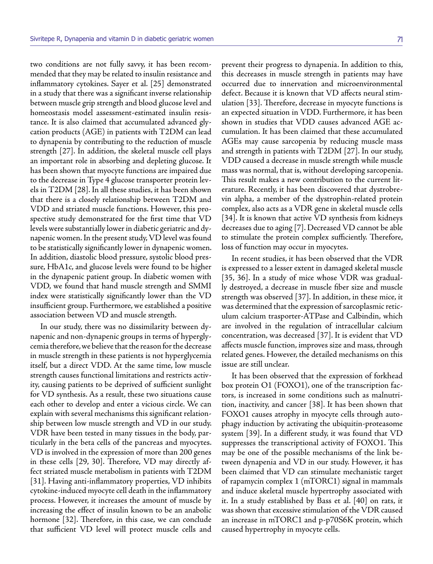two conditions are not fully savvy, it has been recommended that they may be related to insulin resistance and inflammatory cytokines. Sayer et al. [25] demonstrated in a study that there was a significant inverse relationship between muscle grip strength and blood glucose level and homeostasis model assessment-estimated insulin resistance. It is also claimed that accumulated advanced glycation products (AGE) in patients with T2DM can lead to dynapenia by contributing to the reduction of muscle strength [27]. In addition, the skeletal muscle cell plays an important role in absorbing and depleting glucose. It has been shown that myocyte functions are impaired due to the decrease in Type 4 glucose transporter protein levels in T2DM [28]. In all these studies, it has been shown that there is a closely relationship between T2DM and VDD and striated muscle functions. However, this prospective study demonstrated for the first time that VD levels were substantially lower in diabetic geriatric and dynapenic women. In the present study, VD level was found to be statistically significantly lower in dynapenic women. In addition, diastolic blood pressure, systolic blood pressure, HbA1c, and glucose levels were found to be higher in the dynapenic patient group. In diabetic women with VDD, we found that hand muscle strength and SMMI index were statistically significantly lower than the VD insufficient group. Furthermore, we established a positive association between VD and muscle strength.

In our study, there was no dissimilarity between dynapenic and non-dynapenic groups in terms of hyperglycemia therefore, we believe that the reason for the decrease in muscle strength in these patients is not hyperglycemia itself, but a direct VDD. At the same time, low muscle strength causes functional limitations and restricts activity, causing patients to be deprived of sufficient sunlight for VD synthesis. As a result, these two situations cause each other to develop and enter a vicious circle. We can explain with several mechanisms this significant relationship between low muscle strength and VD in our study. VDR have been tested in many tissues in the body, particularly in the beta cells of the pancreas and myocytes. VD is involved in the expression of more than 200 genes in these cells [29, 30]. Therefore, VD may directly affect striated muscle metabolism in patients with T2DM [31]. Having anti-inflammatory properties, VD inhibits cytokine-induced myocyte cell death in the inflammatory process. However, it increases the amount of muscle by increasing the effect of insulin known to be an anabolic hormone [32]. Therefore, in this case, we can conclude that sufficient VD level will protect muscle cells and

prevent their progress to dynapenia. In addition to this, this decreases in muscle strength in patients may have occurred due to innervation and microenvironmental defect. Because it is known that VD affects neural stimulation [33]. Therefore, decrease in myocyte functions is an expected situation in VDD. Furthermore, it has been shown in studies that VDD causes advanced AGE accumulation. It has been claimed that these accumulated AGEs may cause sarcopenia by reducing muscle mass and strength in patients with T2DM [27]. In our study, VDD caused a decrease in muscle strength while muscle mass was normal, that is, without developing sarcopenia. This result makes a new contribution to the current literature. Recently, it has been discovered that dystrobrevin alpha, a member of the dystrophin-related protein complex, also acts as a VDR gene in skeletal muscle cells [34]. It is known that active VD synthesis from kidneys decreases due to aging [7]. Decreased VD cannot be able to stimulate the protein complex sufficiently. Therefore, loss of function may occur in myocytes.

In recent studies, it has been observed that the VDR is expressed to a lesser extent in damaged skeletal muscle [35, 36]. In a study of mice whose VDR was gradually destroyed, a decrease in muscle fiber size and muscle strength was observed [37]. In addition, in these mice, it was determined that the expression of sarcoplasmic reticulum calcium trasporter-ATPase and Calbindin, which are involved in the regulation of intracellular calcium concentration, was decreased [37]. It is evident that VD affects muscle function, improves size and mass, through related genes. However, the detailed mechanisms on this issue are still unclear.

It has been observed that the expression of forkhead box protein O1 (FOXO1), one of the transcription factors, is increased in some conditions such as malnutrition, inactivity, and cancer [38]. It has been shown that FOXO1 causes atrophy in myocyte cells through autophagy induction by activating the ubiquitin-proteasome system [39]. In a different study, it was found that VD suppresses the transcriptional activity of FOXO1. This may be one of the possible mechanisms of the link between dynapenia and VD in our study. However, it has been claimed that VD can stimulate mechanistic target of rapamycin complex 1 (mTORC1) signal in mammals and induce skeletal muscle hypertrophy associated with it. In a study established by Bass et al. [40] on rats, it was shown that excessive stimulation of the VDR caused an increase in mTORC1 and p-p70S6K protein, which caused hypertrophy in myocyte cells.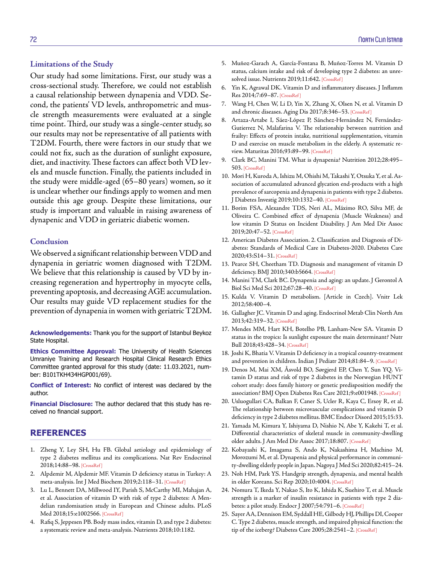Our study had some limitations. First, our study was a cross-sectional study. Therefore, we could not establish a causal relationship between dynapenia and VDD. Second, the patients' VD levels, anthropometric and muscle strength measurements were evaluated at a single time point. Third, our study was a single-center study, so our results may not be representative of all patients with T2DM. Fourth, there were factors in our study that we could not fix, such as the duration of sunlight exposure, diet, and inactivity. These factors can affect both VD levels and muscle function. Finally, the patients included in the study were middle-aged (65–80 years) women, so it is unclear whether our findings apply to women and men outside this age group. Despite these limitations, our study is important and valuable in raising awareness of dynapenic and VDD in geriatric diabetic women.

#### **Conclusion**

We observed a significant relationship between VDD and dynapenia in geriatric women diagnosed with T2DM. We believe that this relationship is caused by VD by increasing regeneration and hypertrophy in myocyte cells, preventing apoptosis, and decreasing AGE accumulation. Our results may guide VD replacement studies for the prevention of dynapenia in women with geriatric T2DM.

**Acknowledgements:** Thank you for the support of Istanbul Beykoz State Hospital.

**Ethics Committee Approval:** The University of Health Sciences Umraniye Training and Research Hospital Clinical Research Ethics Committee granted approval for this study (date: 11.03.2021, number: B101TKH434HGP001/69).

**Conflict of Interest:** No conflict of interest was declared by the author.

**Financial Disclosure:** The author declared that this study has received no financial support.

### **REFERENCES**

- 1. Zheng Y, Ley SH, Hu FB. Global aetiology and epidemiology of type 2 diabetes mellitus and its complications. Nat Rev Endocrinol 2018;14:88–[98. \[CrossRef \]](https://doi.org/10.1038/nrendo.2017.151)
- 2. Alpdemir M, Alpdemir MF. Vitamin D deficiency status in Turkey: A meta-analysis. Int J Med Biochem 2019;2:118–3[1. \[CrossRef \]](https://doi.org/10.14744/ijmb.2019.04127)
- 3. Lu L, Bennett DA, Millwood IY, Parish S, McCarthy MI, Mahajan A, et al. Association of vitamin D with risk of type 2 diabetes: A Mendelian randomisation study in European and Chinese adults. PLoS Med 2018;15:e10025[66. \[CrossRef \]](https://doi.org/10.1371/journal.pmed.1002566)
- 4. Rafiq S, Jeppesen PB. Body mass index, vitamin D, and type 2 diabetes: a systematic review and meta-analysis. [Nutrients 2018;10:1182.](https://doi.org/10.3390/nu10091182)
- 5. Muñoz-Garach A, García-Fontana B, Muñoz-Torres M. Vitamin D status, calcium intake and risk of developing type 2 diabetes: an unresolved issue. Nutrients 2019;11:642. [CrossRef]
- 6. Yin K, Agrawal DK. Vitamin D and inflammatory diseases. J Inflamm Res 2014;7:69–[87. \[CrossRef \]](https://doi.org/10.2147/JIR.S63898)
- 7. Wang H, Chen W, Li D, Yin X, Zhang X, Olsen N, et al. Vitamin D and chronic diseases. Aging Dis 2017;8:346–[53. \[CrossRef \]](https://doi.org/10.14336/AD.2016.1021)
- 8. Artaza-Artabe I, Sáez-López P, Sánchez-Hernández N, Fernández-Gutierrez N, Malafarina V. The relationship between nutrition and frailty: Effects of protein intake, nutritional supplementation, vitamin D and exercise on muscle metabolism in the elderly. A systematic review. Maturitas 2016;93:89–[99. \[CrossRef \]](https://doi.org/10.1016/j.maturitas.2016.04.009)
- 9. Clark BC, Manini TM. What is dynapenia? Nutrition 2012;28:495– [503. \[CrossRef \]](https://doi.org/10.1016/j.nut.2011.12.002)
- 10. Mori H, Kuroda A, Ishizu M, Ohishi M, Takashi Y, Otsuka Y, et al. Association of accumulated advanced glycation end-products with a high prevalence of sarcopenia and dynapenia in patients with type 2 diabetes. J Diabetes Investig 2019;10:1332[–40. \[CrossRef \]](https://doi.org/10.1111/jdi.13014)
- 11. Borim FSA, Alexandre TDS, Neri AL, Máximo RO, Silva MF, de Oliveira C. Combined effect of dynapenia (Muscle Weakness) and low vitamin D Status on Incident Disability. J Am Med Dir Assoc 2019;20:47–[52. \[CrossRef \]](https://doi.org/10.1016/j.jamda.2018.06.006)
- 12. American Diabetes Association. 2. Classification and Diagnosis of Diabetes: Standards of Medical Care in Diabetes-2020. Diabetes Care 2020;43:S14–3[1. \[CrossRef \]](https://doi.org/10.2337/dc20-S002)
- 13. Pearce SH, Cheetham TD. Diagnosis and management of vitamin D deficiency. BMJ 2010;340:b566[4. \[CrossRef \]](https://doi.org/10.1136/bmj.b5664)
- 14. Manini TM, Clark BC. Dynapenia and aging: an update. J Gerontol A Biol Sci Med Sci 2012;67:2[8–40. \[CrossRef \]](https://doi.org/10.1093/gerona/glr010)
- 15. Kulda V. Vitamin D metabolism. [Article in Czech]. Vnitr Lek 2012;58:400–4.
- 16. Gallagher JC. Vitamin D and aging. Endocrinol Metab Clin North Am 2013;42:319[–32. \[CrossRef \]](https://doi.org/10.1016/j.ecl.2013.02.004)
- 17. Mendes MM, Hart KH, Botelho PB, Lanham-New SA. Vitamin D status in the tropics: Is sunlight exposure the main determinant? Nutr Bull 2018;43:428[–34. \[CrossRef \]](https://doi.org/10.1111/nbu.12349)
- 18. Joshi K, Bhatia V. Vitamin D deficiency in a tropical country-treatment and prevention in children. Indian J Pediatr 2014;81:84–9. [\[CrossRef \]](https://doi.org/10.1007/s12098-013-1241-2)
- 19. Denos M, Mai XM, Åsvold BO, Sørgjerd EP, Chen Y, Sun YQ. Vitamin D status and risk of type 2 diabetes in the Norwegian HUNT cohort study: does family history or genetic predisposition modify the association? BMJ Open Diabetes Res Care 2021;9:e001948. [\[CrossRef \]](https://doi.org/10.1136/bmjdrc-2020-001948)
- 20. Usluogullari CA, Balkan F, Caner S, Ucler R, Kaya C, Ersoy R, et al. The relationship between microvascular complications and vitamin D deficiency in type 2 diabetes mellitu[s. BMC Endocr Disord 2015;15:33.](https://doi.org/10.1186/s12902-015-0029-y)
- 21. Yamada M, Kimura Y, Ishiyama D, Nishio N, Abe Y, Kakehi T, et al. Differential characteristics of skeletal muscle in community-dwelling older adults. J Am Med Dir Assoc 2017;18:[807. \[CrossRef \]](https://doi.org/10.1016/j.jamda.2017.05.011)
- 22. Kobayashi K, Imagama S, Ando K, Nakashima H, Machino M, Morozumi M, et al. Dynapenia and physical performance in community-dwelling elderly people in Japan. Nagoya J Med Sci 2020;82:415–24.
- 23. Noh HM, Park YS. Handgrip strength, dynapenia, and mental health in older Koreans. Sci Rep 2020;10:40[04. \[CrossRef \]](https://doi.org/10.1038/s41598-020-60835-4)
- 24. Nomura T, Ikeda Y, Nakao S, Ito K, Ishida K, Suehiro T, et al. Muscle strength is a marker of insulin resistan[ce in patients with](https://doi.org/10.1507/endocrj.K07-055) type 2 diabetes: a pilot study. Endocr J 2007;54:791–6. [CrossRef ]
- 25. Sayer AA, Dennison EM, Syddall HE, Gilbody HJ, Phillips DI, Cooper C. Type 2 diabetes, muscle strength, and impaired physical function: the tip of the iceberg? Diabetes Care 2005;28:2541-2. [CrossRef]